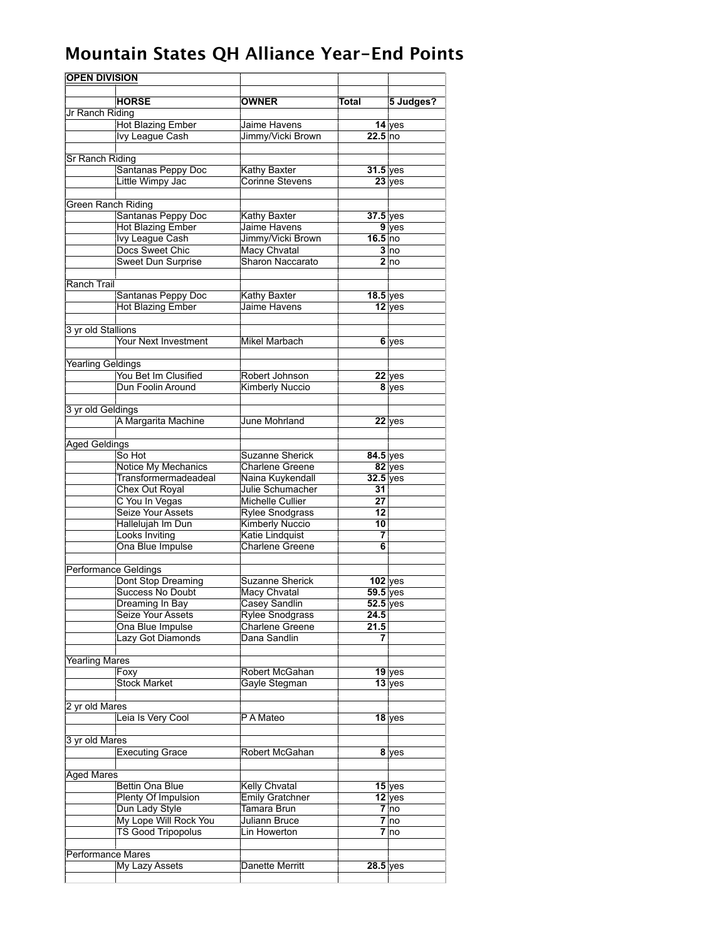## **Mountain States QH Alliance Year-End Points**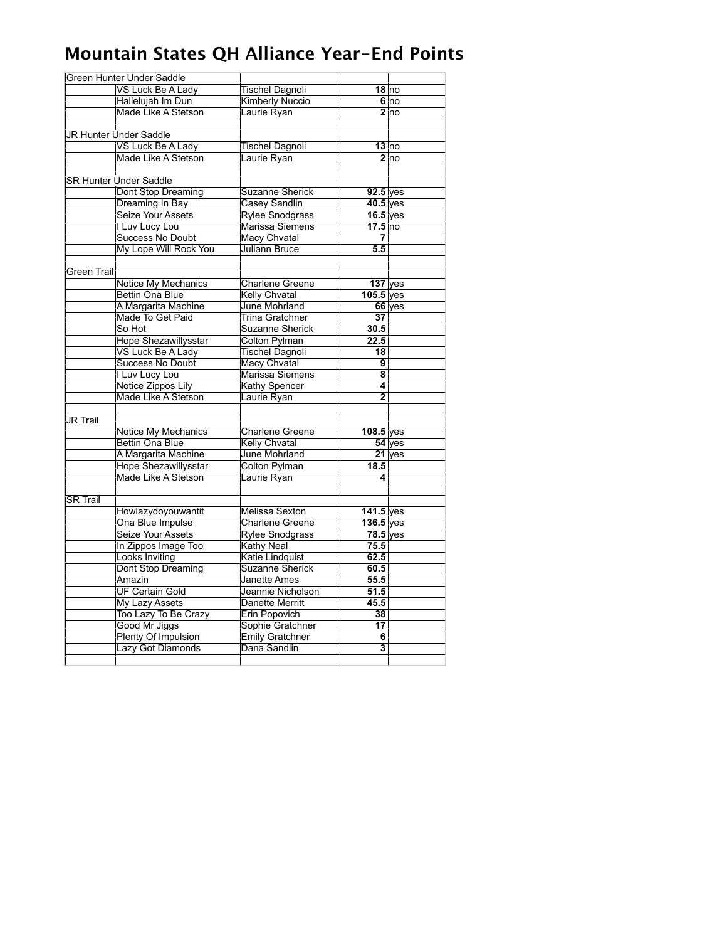## **Mountain States QH Alliance Year-End Points**

|                 | Green Hunter Under Saddle     |                        |                         |                 |
|-----------------|-------------------------------|------------------------|-------------------------|-----------------|
|                 | VS Luck Be A Lady             | <b>Tischel Dagnoli</b> |                         | $18$ no         |
|                 | Hallelujah Im Dun             | Kimberly Nuccio        |                         | 6 no            |
|                 | Made Like A Stetson           | Laurie Ryan            |                         | 2 <sub>no</sub> |
|                 |                               |                        |                         |                 |
|                 | <b>JR Hunter Under Saddle</b> |                        |                         |                 |
|                 | VS Luck Be A Lady             | <b>Tischel Dagnoli</b> |                         | 13 no           |
|                 | Made Like A Stetson           | Laurie Ryan            |                         | 2 <sub>no</sub> |
|                 |                               |                        |                         |                 |
|                 | <b>SR Hunter Under Saddle</b> |                        |                         |                 |
|                 | Dont Stop Dreaming            | Suzanne Sherick        | 92.5 yes                |                 |
|                 | Dreaming In Bay               | Casey Sandlin          | $40.5$ yes              |                 |
|                 | Seize Your Assets             | Rylee Snodgrass        | $16.5$ yes              |                 |
|                 | I Luv Lucy Lou                | Marissa Siemens        | $17.5$ no               |                 |
|                 | Success No Doubt              | Macy Chvatal           | 7                       |                 |
|                 | My Lope Will Rock You         | <b>Juliann Bruce</b>   | 5.5                     |                 |
|                 |                               |                        |                         |                 |
| Green Trail     |                               |                        |                         |                 |
|                 | Notice My Mechanics           | <b>Charlene Greene</b> | $137$ yes               |                 |
|                 | Bettin Ona Blue               | <b>Kelly Chvatal</b>   | $105.5$ yes             |                 |
|                 | A Margarita Machine           | June Mohrland          |                         | 66 yes          |
|                 | Made To Get Paid              | <b>Trina Gratchner</b> | $\overline{37}$         |                 |
|                 | So Hot                        | Suzanne Sherick        | 30.5                    |                 |
|                 | <b>Hope Shezawillysstar</b>   | <b>Colton Pylman</b>   | 22.5                    |                 |
|                 | <b>VS Luck Be A Lady</b>      | <b>Tischel Dagnoli</b> | 18                      |                 |
|                 | <b>Success No Doubt</b>       | Macy Chvatal           | 9                       |                 |
|                 | I Luv Lucy Lou                | Marissa Siemens        | $\overline{\mathbf{8}}$ |                 |
|                 | Notice Zippos Lily            | Kathy Spencer          | 4                       |                 |
|                 | Made Like A Stetson           | Laurie Ryan            | $\overline{2}$          |                 |
|                 |                               |                        |                         |                 |
| <b>JR Trail</b> |                               |                        |                         |                 |
|                 | Notice My Mechanics           | <b>Charlene Greene</b> | 108.5 yes               |                 |
|                 | Bettin Ona Blue               | <b>Kelly Chvatal</b>   |                         | $54$ yes        |
|                 | A Margarita Machine           | June Mohrland          |                         | $21$ yes        |
|                 | Hope Shezawillysstar          | Colton Pylman          | 18.5                    |                 |
|                 | Made Like A Stetson           | Laurie Ryan            | 4                       |                 |
|                 |                               |                        |                         |                 |
| <b>SR Trail</b> |                               |                        |                         |                 |
|                 | Howlazydoyouwantit            | Melissa Sexton         | 141.5 yes               |                 |
|                 | Ona Blue Impulse              | Charlene Greene        | $136.5$ yes             |                 |
|                 | Seize Your Assets             | <b>Rylee Snodgrass</b> | $78.5$ yes              |                 |
|                 | In Zippos Image Too           | <b>Kathy Neal</b>      | 75.5                    |                 |
|                 | Looks Inviting                | Katie Lindquist        | 62.5                    |                 |
|                 | Dont Stop Dreaming            | <b>Suzanne Sherick</b> | 60.5                    |                 |
|                 | Amazin                        | <b>Janette Ames</b>    | 55.5                    |                 |
|                 | <b>UF Certain Gold</b>        | Jeannie Nicholson      | 51.5                    |                 |
|                 | <b>My Lazy Assets</b>         | <b>Danette Merritt</b> | 45.5                    |                 |
|                 | Too Lazy To Be Crazy          | Erin Popovich          | 38                      |                 |
|                 | Good Mr Jiggs                 | Sophie Gratchner       | 17                      |                 |
|                 | Plenty Of Impulsion           | Emily Gratchner        | $\overline{\mathbf{6}}$ |                 |
|                 | <b>Lazy Got Diamonds</b>      | Dana Sandlin           | 3                       |                 |
|                 |                               |                        |                         |                 |